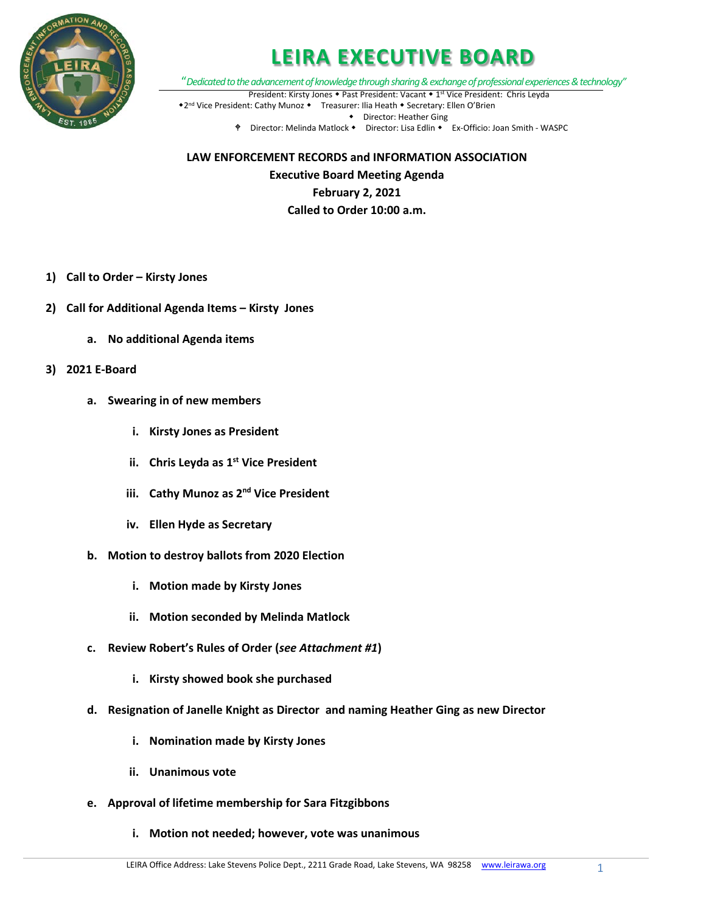

"*Dedicated to the advancement of knowledge through sharing & exchange of professional experiences & technology"* President: Kirsty Jones • Past President: Vacant • 1<sup>st</sup> Vice President: Chris Leyda

\*2<sup>nd</sup> Vice President: Cathy Munoz \* Treasurer: Ilia Heath \* Secretary: Ellen O'Brien Director: Heather Ging

Director: Melinda Matlock Director: Lisa Edlin Ex-Officio: Joan Smith - WASPC

**LAW ENFORCEMENT RECORDS and INFORMATION ASSOCIATION Executive Board Meeting Agenda February 2, 2021 Called to Order 10:00 a.m.**

- **1) Call to Order – Kirsty Jones**
- **2) Call for Additional Agenda Items – Kirsty Jones**
	- **a. No additional Agenda items**
- **3) 2021 E-Board**
	- **a. Swearing in of new members**
		- **i. Kirsty Jones as President**
		- **ii.** Chris Leyda as 1<sup>st</sup> Vice President
		- **iii. Cathy Munoz as 2nd Vice President**
		- **iv. Ellen Hyde as Secretary**
	- **b. Motion to destroy ballots from 2020 Election**
		- **i. Motion made by Kirsty Jones**
		- **ii. Motion seconded by Melinda Matlock**
	- **c. Review Robert's Rules of Order (***see Attachment #1***)**
		- **i. Kirsty showed book she purchased**
	- **d. Resignation of Janelle Knight as Director and naming Heather Ging as new Director**
		- **i. Nomination made by Kirsty Jones**
		- **ii. Unanimous vote**
	- **e. Approval of lifetime membership for Sara Fitzgibbons**
		- **i. Motion not needed; however, vote was unanimous**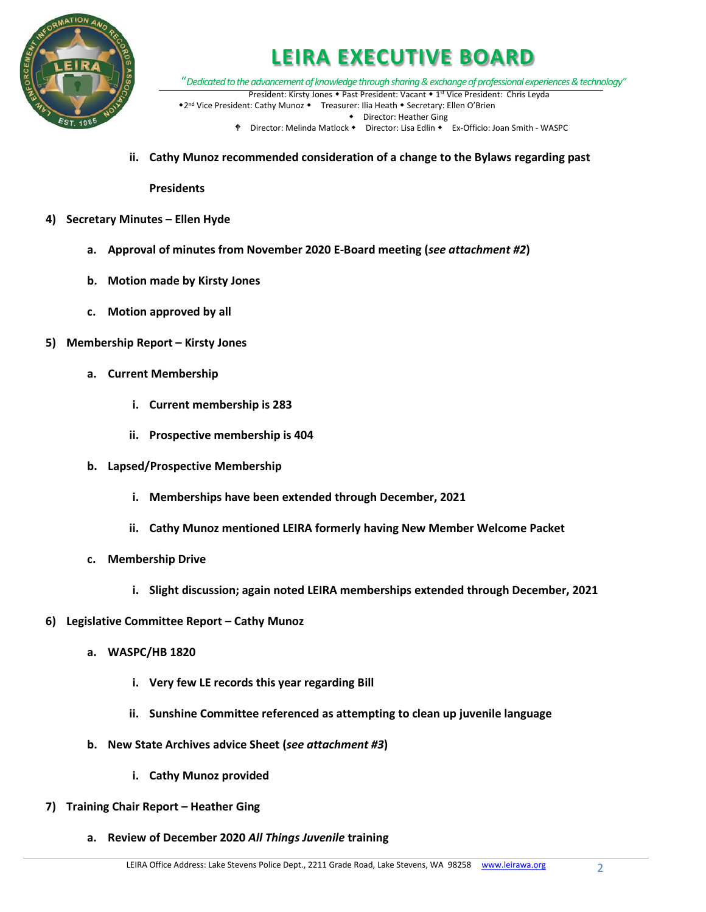

"*Dedicated to the advancement of knowledge through sharing & exchange of professional experiences & technology"* President: Kirsty Jones • Past President: Vacant • 1<sup>st</sup> Vice President: Chris Leyda

\*2<sup>nd</sup> Vice President: Cathy Munoz \* Treasurer: Ilia Heath \* Secretary: Ellen O'Brien Director: Heather Ging

- Director: Melinda Matlock Director: Lisa Edlin Ex-Officio: Joan Smith WASPC
- **ii. Cathy Munoz recommended consideration of a change to the Bylaws regarding past**

**Presidents**

- **4) Secretary Minutes – Ellen Hyde**
	- **a. Approval of minutes from November 2020 E-Board meeting (***see attachment #2***)**
	- **b. Motion made by Kirsty Jones**
	- **c. Motion approved by all**
- **5) Membership Report – Kirsty Jones**
	- **a. Current Membership**
		- **i. Current membership is 283**
		- **ii. Prospective membership is 404**
	- **b. Lapsed/Prospective Membership**
		- **i. Memberships have been extended through December, 2021**
		- **ii. Cathy Munoz mentioned LEIRA formerly having New Member Welcome Packet**
	- **c. Membership Drive**
		- **i. Slight discussion; again noted LEIRA memberships extended through December, 2021**
- **6) Legislative Committee Report – Cathy Munoz**
	- **a. WASPC/HB 1820**
		- **i. Very few LE records this year regarding Bill**
		- **ii. Sunshine Committee referenced as attempting to clean up juvenile language**
	- **b. New State Archives advice Sheet (***see attachment #3***)**
		- **i. Cathy Munoz provided**
- **7) Training Chair Report – Heather Ging**
	- **a. Review of December 2020** *All Things Juvenile* **training**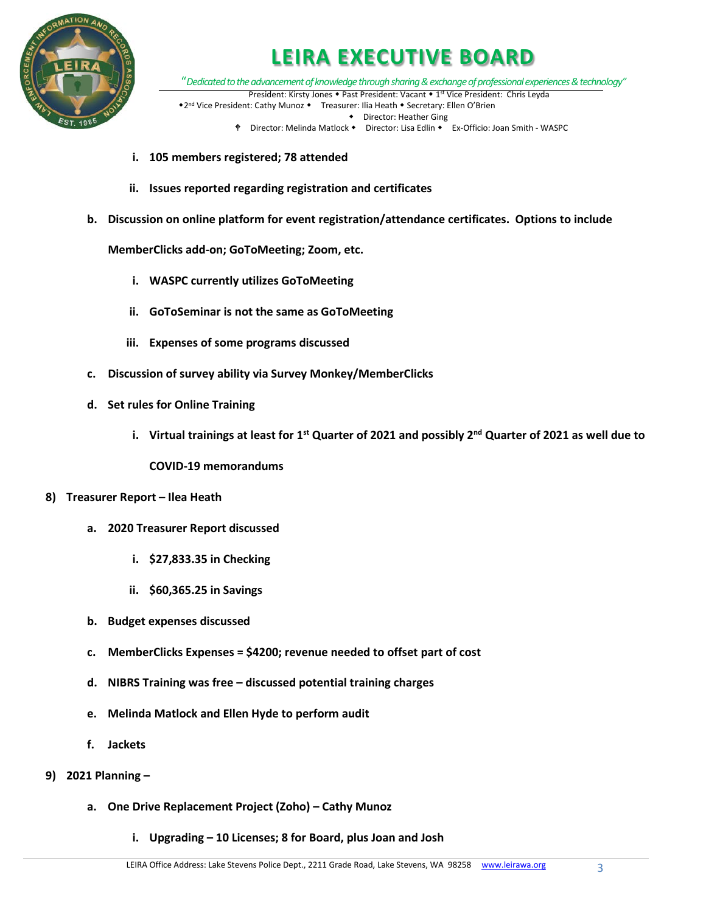

"*Dedicated to the advancement of knowledge through sharing & exchange of professional experiences & technology"* President: Kirsty Jones • Past President: Vacant • 1<sup>st</sup> Vice President: Chris Leyda

\*2<sup>nd</sup> Vice President: Cathy Munoz \* Treasurer: Ilia Heath \* Secretary: Ellen O'Brien Director: Heather Ging

- ♦ Director: Melinda Matlock Director: Lisa Edlin Ex-Officio: Joan Smith WASPC
- **i. 105 members registered; 78 attended**
- **ii. Issues reported regarding registration and certificates**
- **b. Discussion on online platform for event registration/attendance certificates. Options to include**

**MemberClicks add-on; GoToMeeting; Zoom, etc.**

- **i. WASPC currently utilizes GoToMeeting**
- **ii. GoToSeminar is not the same as GoToMeeting**
- **iii. Expenses of some programs discussed**
- **c. Discussion of survey ability via Survey Monkey/MemberClicks**
- **d. Set rules for Online Training**
	- **i. Virtual trainings at least for 1st Quarter of 2021 and possibly 2nd Quarter of 2021 as well due to**

**COVID-19 memorandums**

- **8) Treasurer Report – Ilea Heath**
	- **a. 2020 Treasurer Report discussed**
		- **i. \$27,833.35 in Checking**
		- **ii. \$60,365.25 in Savings**
	- **b. Budget expenses discussed**
	- **c. MemberClicks Expenses = \$4200; revenue needed to offset part of cost**
	- **d. NIBRS Training was free – discussed potential training charges**
	- **e. Melinda Matlock and Ellen Hyde to perform audit**
	- **f. Jackets**
- **9) 2021 Planning –**
	- **a. One Drive Replacement Project (Zoho) – Cathy Munoz**
		- **i. Upgrading – 10 Licenses; 8 for Board, plus Joan and Josh**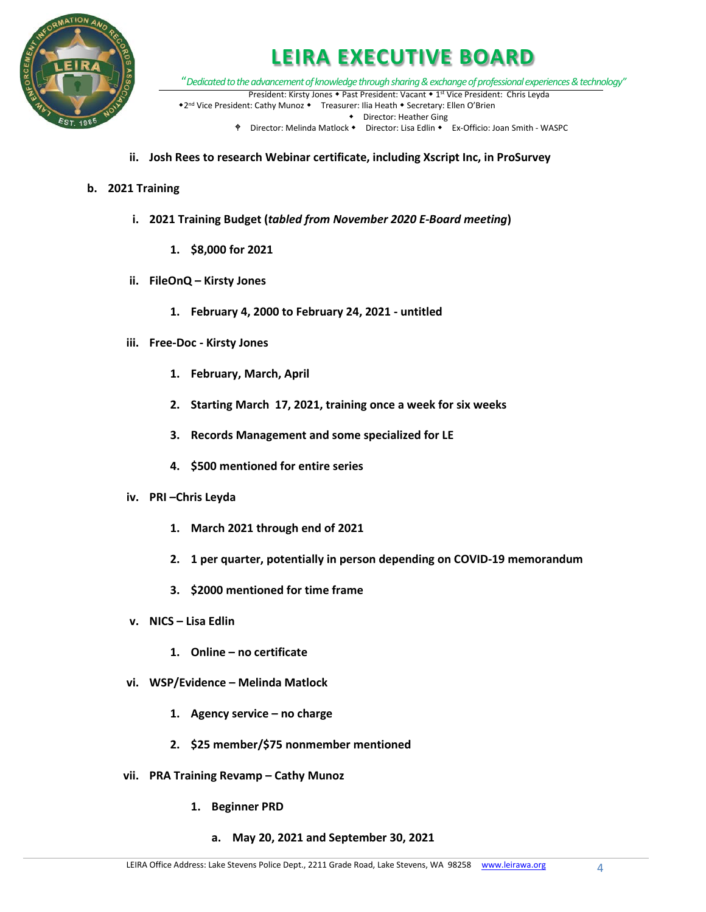

"*Dedicated to the advancement of knowledge through sharing & exchange of professional experiences & technology"* President: Kirsty Jones • Past President: Vacant • 1<sup>st</sup> Vice President: Chris Leyda

\*2<sup>nd</sup> Vice President: Cathy Munoz \* Treasurer: Ilia Heath \* Secretary: Ellen O'Brien Director: Heather Ging

- Director: Melinda Matlock Director: Lisa Edlin Ex-Officio: Joan Smith WASPC
- **ii. Josh Rees to research Webinar certificate, including Xscript Inc, in ProSurvey**

#### **b. 2021 Training**

- **i. 2021 Training Budget (***tabled from November 2020 E-Board meeting***)**
	- **1. \$8,000 for 2021**
- **ii. FileOnQ – Kirsty Jones**
	- **1. February 4, 2000 to February 24, 2021 - untitled**
- **iii. Free-Doc - Kirsty Jones**
	- **1. February, March, April**
	- **2. Starting March 17, 2021, training once a week for six weeks**
	- **3. Records Management and some specialized for LE**
	- **4. \$500 mentioned for entire series**
- **iv. PRI –Chris Leyda**
	- **1. March 2021 through end of 2021**
	- **2. 1 per quarter, potentially in person depending on COVID-19 memorandum**
	- **3. \$2000 mentioned for time frame**
- **v. NICS – Lisa Edlin**
	- **1. Online – no certificate**
- **vi. WSP/Evidence – Melinda Matlock**
	- **1. Agency service – no charge**
	- **2. \$25 member/\$75 nonmember mentioned**
- **vii. PRA Training Revamp – Cathy Munoz**
	- **1. Beginner PRD**
		- **a. May 20, 2021 and September 30, 2021**